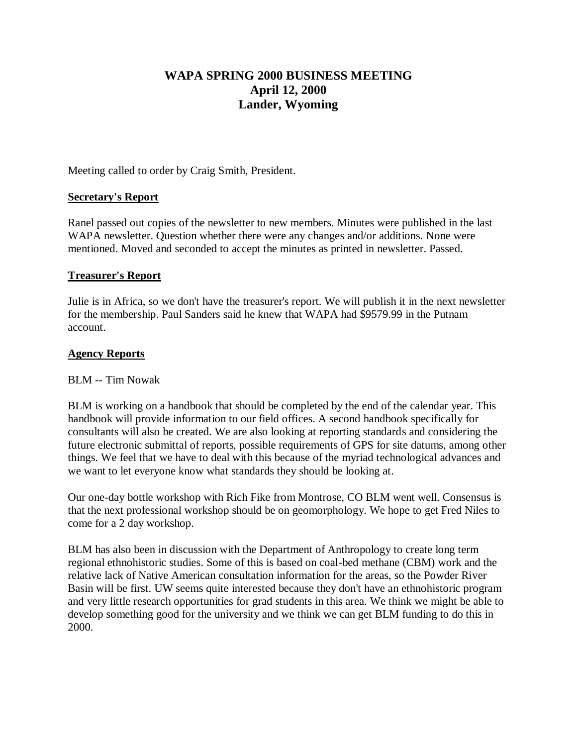# **WAPA SPRING 2000 BUSINESS MEETING April 12, 2000 Lander, Wyoming**

Meeting called to order by Craig Smith, President.

# **Secretary's Report**

Ranel passed out copies of the newsletter to new members. Minutes were published in the last WAPA newsletter. Question whether there were any changes and/or additions. None were mentioned. Moved and seconded to accept the minutes as printed in newsletter. Passed.

## **Treasurer's Report**

Julie is in Africa, so we don't have the treasurer's report. We will publish it in the next newsletter for the membership. Paul Sanders said he knew that WAPA had \$9579.99 in the Putnam account.

# **Agency Reports**

## BLM -- Tim Nowak

BLM is working on a handbook that should be completed by the end of the calendar year. This handbook will provide information to our field offices. A second handbook specifically for consultants will also be created. We are also looking at reporting standards and considering the future electronic submittal of reports, possible requirements of GPS for site datums, among other things. We feel that we have to deal with this because of the myriad technological advances and we want to let everyone know what standards they should be looking at.

Our one-day bottle workshop with Rich Fike from Montrose, CO BLM went well. Consensus is that the next professional workshop should be on geomorphology. We hope to get Fred Niles to come for a 2 day workshop.

BLM has also been in discussion with the Department of Anthropology to create long term regional ethnohistoric studies. Some of this is based on coal-bed methane (CBM) work and the relative lack of Native American consultation information for the areas, so the Powder River Basin will be first. UW seems quite interested because they don't have an ethnohistoric program and very little research opportunities for grad students in this area. We think we might be able to develop something good for the university and we think we can get BLM funding to do this in 2000.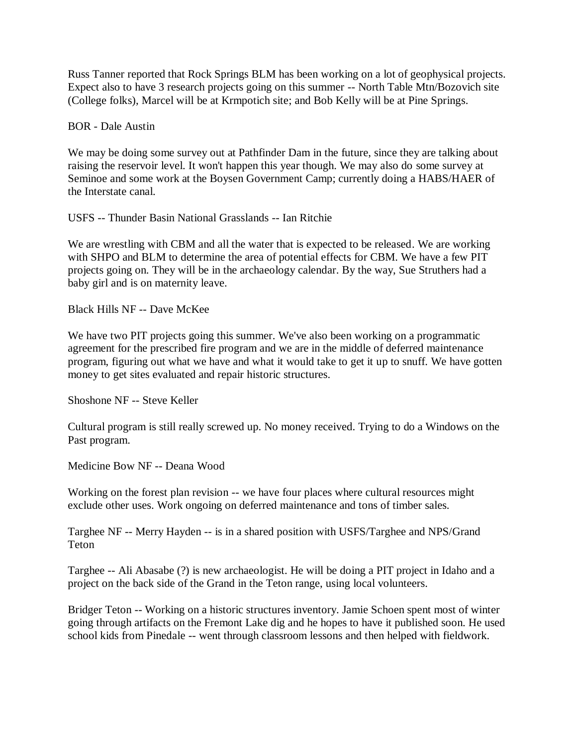Russ Tanner reported that Rock Springs BLM has been working on a lot of geophysical projects. Expect also to have 3 research projects going on this summer -- North Table Mtn/Bozovich site (College folks), Marcel will be at Krmpotich site; and Bob Kelly will be at Pine Springs.

BOR - Dale Austin

We may be doing some survey out at Pathfinder Dam in the future, since they are talking about raising the reservoir level. It won't happen this year though. We may also do some survey at Seminoe and some work at the Boysen Government Camp; currently doing a HABS/HAER of the Interstate canal.

USFS -- Thunder Basin National Grasslands -- Ian Ritchie

We are wrestling with CBM and all the water that is expected to be released. We are working with SHPO and BLM to determine the area of potential effects for CBM. We have a few PIT projects going on. They will be in the archaeology calendar. By the way, Sue Struthers had a baby girl and is on maternity leave.

Black Hills NF -- Dave McKee

We have two PIT projects going this summer. We've also been working on a programmatic agreement for the prescribed fire program and we are in the middle of deferred maintenance program, figuring out what we have and what it would take to get it up to snuff. We have gotten money to get sites evaluated and repair historic structures.

Shoshone NF -- Steve Keller

Cultural program is still really screwed up. No money received. Trying to do a Windows on the Past program.

Medicine Bow NF -- Deana Wood

Working on the forest plan revision -- we have four places where cultural resources might exclude other uses. Work ongoing on deferred maintenance and tons of timber sales.

Targhee NF -- Merry Hayden -- is in a shared position with USFS/Targhee and NPS/Grand Teton

Targhee -- Ali Abasabe (?) is new archaeologist. He will be doing a PIT project in Idaho and a project on the back side of the Grand in the Teton range, using local volunteers.

Bridger Teton -- Working on a historic structures inventory. Jamie Schoen spent most of winter going through artifacts on the Fremont Lake dig and he hopes to have it published soon. He used school kids from Pinedale -- went through classroom lessons and then helped with fieldwork.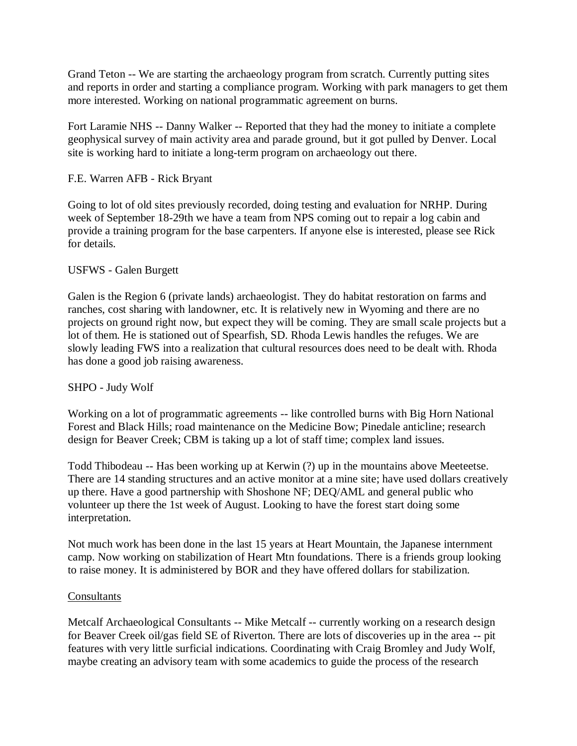Grand Teton -- We are starting the archaeology program from scratch. Currently putting sites and reports in order and starting a compliance program. Working with park managers to get them more interested. Working on national programmatic agreement on burns.

Fort Laramie NHS -- Danny Walker -- Reported that they had the money to initiate a complete geophysical survey of main activity area and parade ground, but it got pulled by Denver. Local site is working hard to initiate a long-term program on archaeology out there.

# F.E. Warren AFB - Rick Bryant

Going to lot of old sites previously recorded, doing testing and evaluation for NRHP. During week of September 18-29th we have a team from NPS coming out to repair a log cabin and provide a training program for the base carpenters. If anyone else is interested, please see Rick for details.

# USFWS - Galen Burgett

Galen is the Region 6 (private lands) archaeologist. They do habitat restoration on farms and ranches, cost sharing with landowner, etc. It is relatively new in Wyoming and there are no projects on ground right now, but expect they will be coming. They are small scale projects but a lot of them. He is stationed out of Spearfish, SD. Rhoda Lewis handles the refuges. We are slowly leading FWS into a realization that cultural resources does need to be dealt with. Rhoda has done a good job raising awareness.

## SHPO - Judy Wolf

Working on a lot of programmatic agreements -- like controlled burns with Big Horn National Forest and Black Hills; road maintenance on the Medicine Bow; Pinedale anticline; research design for Beaver Creek; CBM is taking up a lot of staff time; complex land issues.

Todd Thibodeau -- Has been working up at Kerwin (?) up in the mountains above Meeteetse. There are 14 standing structures and an active monitor at a mine site; have used dollars creatively up there. Have a good partnership with Shoshone NF; DEQ/AML and general public who volunteer up there the 1st week of August. Looking to have the forest start doing some interpretation.

Not much work has been done in the last 15 years at Heart Mountain, the Japanese internment camp. Now working on stabilization of Heart Mtn foundations. There is a friends group looking to raise money. It is administered by BOR and they have offered dollars for stabilization.

## **Consultants**

Metcalf Archaeological Consultants -- Mike Metcalf -- currently working on a research design for Beaver Creek oil/gas field SE of Riverton. There are lots of discoveries up in the area -- pit features with very little surficial indications. Coordinating with Craig Bromley and Judy Wolf, maybe creating an advisory team with some academics to guide the process of the research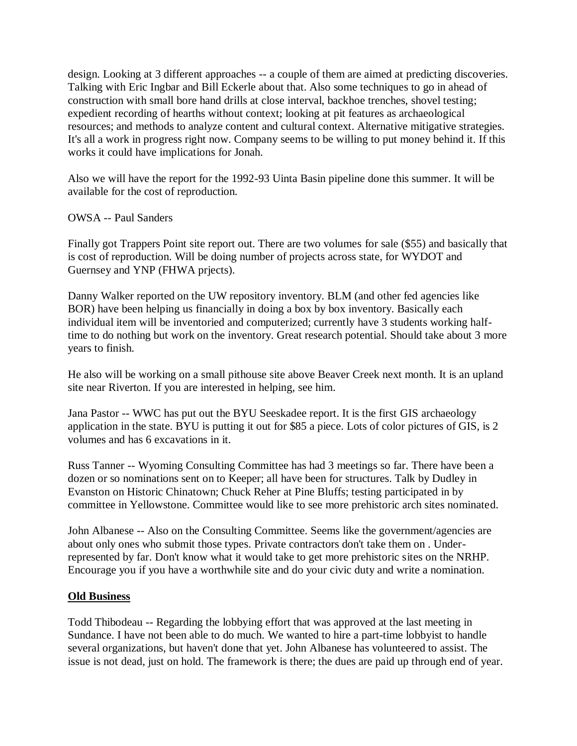design. Looking at 3 different approaches -- a couple of them are aimed at predicting discoveries. Talking with Eric Ingbar and Bill Eckerle about that. Also some techniques to go in ahead of construction with small bore hand drills at close interval, backhoe trenches, shovel testing; expedient recording of hearths without context; looking at pit features as archaeological resources; and methods to analyze content and cultural context. Alternative mitigative strategies. It's all a work in progress right now. Company seems to be willing to put money behind it. If this works it could have implications for Jonah.

Also we will have the report for the 1992-93 Uinta Basin pipeline done this summer. It will be available for the cost of reproduction.

# OWSA -- Paul Sanders

Finally got Trappers Point site report out. There are two volumes for sale (\$55) and basically that is cost of reproduction. Will be doing number of projects across state, for WYDOT and Guernsey and YNP (FHWA prjects).

Danny Walker reported on the UW repository inventory. BLM (and other fed agencies like BOR) have been helping us financially in doing a box by box inventory. Basically each individual item will be inventoried and computerized; currently have 3 students working halftime to do nothing but work on the inventory. Great research potential. Should take about 3 more years to finish.

He also will be working on a small pithouse site above Beaver Creek next month. It is an upland site near Riverton. If you are interested in helping, see him.

Jana Pastor -- WWC has put out the BYU Seeskadee report. It is the first GIS archaeology application in the state. BYU is putting it out for \$85 a piece. Lots of color pictures of GIS, is 2 volumes and has 6 excavations in it.

Russ Tanner -- Wyoming Consulting Committee has had 3 meetings so far. There have been a dozen or so nominations sent on to Keeper; all have been for structures. Talk by Dudley in Evanston on Historic Chinatown; Chuck Reher at Pine Bluffs; testing participated in by committee in Yellowstone. Committee would like to see more prehistoric arch sites nominated.

John Albanese -- Also on the Consulting Committee. Seems like the government/agencies are about only ones who submit those types. Private contractors don't take them on . Underrepresented by far. Don't know what it would take to get more prehistoric sites on the NRHP. Encourage you if you have a worthwhile site and do your civic duty and write a nomination.

## **Old Business**

Todd Thibodeau -- Regarding the lobbying effort that was approved at the last meeting in Sundance. I have not been able to do much. We wanted to hire a part-time lobbyist to handle several organizations, but haven't done that yet. John Albanese has volunteered to assist. The issue is not dead, just on hold. The framework is there; the dues are paid up through end of year.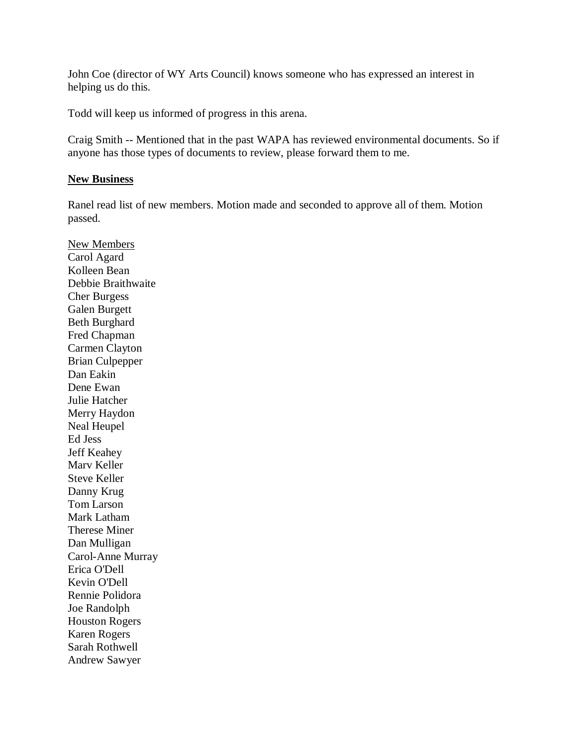John Coe (director of WY Arts Council) knows someone who has expressed an interest in helping us do this.

Todd will keep us informed of progress in this arena.

Craig Smith -- Mentioned that in the past WAPA has reviewed environmental documents. So if anyone has those types of documents to review, please forward them to me.

## **New Business**

Ranel read list of new members. Motion made and seconded to approve all of them. Motion passed.

New Members Carol Agard Kolleen Bean Debbie Braithwaite Cher Burgess Galen Burgett Beth Burghard Fred Chapman Carmen Clayton Brian Culpepper Dan Eakin Dene Ewan Julie Hatcher Merry Haydon Neal Heupel Ed Jess Jeff Keahey Marv Keller Steve Keller Danny Krug Tom Larson Mark Latham Therese Miner Dan Mulligan Carol-Anne Murray Erica O'Dell Kevin O'Dell Rennie Polidora Joe Randolph Houston Rogers Karen Rogers Sarah Rothwell Andrew Sawyer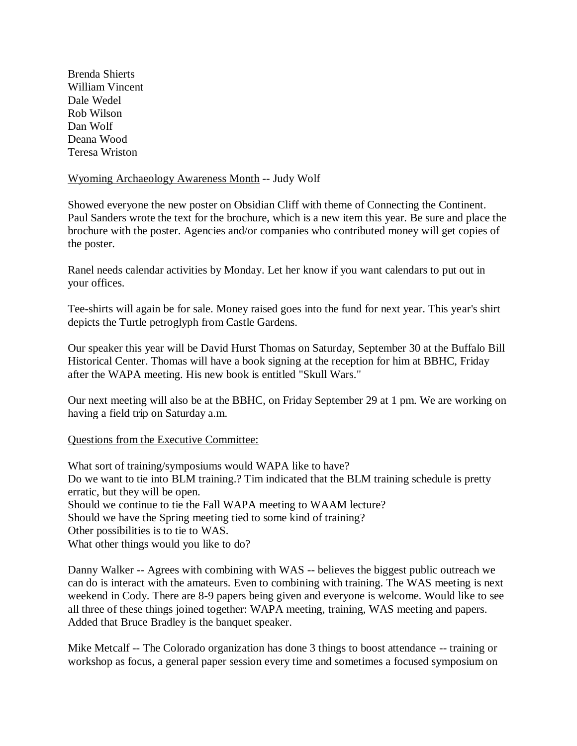Brenda Shierts William Vincent Dale Wedel Rob Wilson Dan Wolf Deana Wood Teresa Wriston

#### Wyoming Archaeology Awareness Month -- Judy Wolf

Showed everyone the new poster on Obsidian Cliff with theme of Connecting the Continent. Paul Sanders wrote the text for the brochure, which is a new item this year. Be sure and place the brochure with the poster. Agencies and/or companies who contributed money will get copies of the poster.

Ranel needs calendar activities by Monday. Let her know if you want calendars to put out in your offices.

Tee-shirts will again be for sale. Money raised goes into the fund for next year. This year's shirt depicts the Turtle petroglyph from Castle Gardens.

Our speaker this year will be David Hurst Thomas on Saturday, September 30 at the Buffalo Bill Historical Center. Thomas will have a book signing at the reception for him at BBHC, Friday after the WAPA meeting. His new book is entitled "Skull Wars."

Our next meeting will also be at the BBHC, on Friday September 29 at 1 pm. We are working on having a field trip on Saturday a.m.

## Questions from the Executive Committee:

What sort of training/symposiums would WAPA like to have? Do we want to tie into BLM training.? Tim indicated that the BLM training schedule is pretty erratic, but they will be open. Should we continue to tie the Fall WAPA meeting to WAAM lecture? Should we have the Spring meeting tied to some kind of training? Other possibilities is to tie to WAS. What other things would you like to do?

Danny Walker -- Agrees with combining with WAS -- believes the biggest public outreach we can do is interact with the amateurs. Even to combining with training. The WAS meeting is next weekend in Cody. There are 8-9 papers being given and everyone is welcome. Would like to see all three of these things joined together: WAPA meeting, training, WAS meeting and papers. Added that Bruce Bradley is the banquet speaker.

Mike Metcalf -- The Colorado organization has done 3 things to boost attendance -- training or workshop as focus, a general paper session every time and sometimes a focused symposium on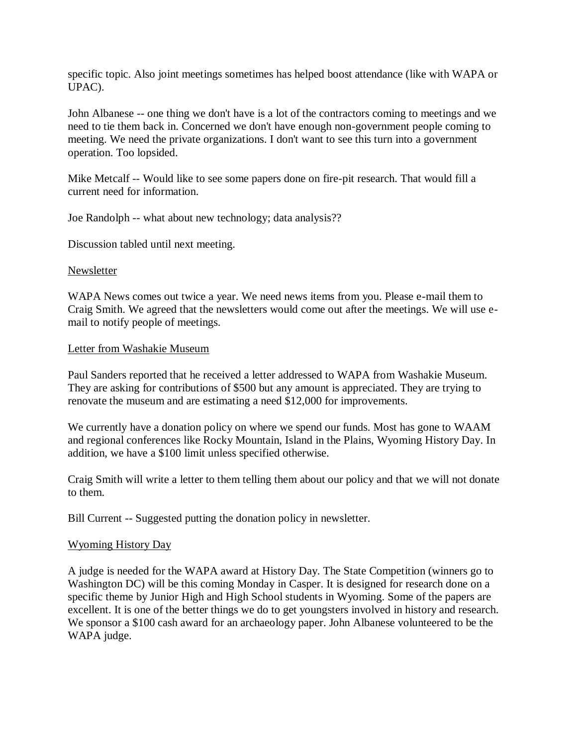specific topic. Also joint meetings sometimes has helped boost attendance (like with WAPA or UPAC).

John Albanese -- one thing we don't have is a lot of the contractors coming to meetings and we need to tie them back in. Concerned we don't have enough non-government people coming to meeting. We need the private organizations. I don't want to see this turn into a government operation. Too lopsided.

Mike Metcalf -- Would like to see some papers done on fire-pit research. That would fill a current need for information.

Joe Randolph -- what about new technology; data analysis??

Discussion tabled until next meeting.

#### Newsletter

WAPA News comes out twice a year. We need news items from you. Please e-mail them to Craig Smith. We agreed that the newsletters would come out after the meetings. We will use email to notify people of meetings.

#### Letter from Washakie Museum

Paul Sanders reported that he received a letter addressed to WAPA from Washakie Museum. They are asking for contributions of \$500 but any amount is appreciated. They are trying to renovate the museum and are estimating a need \$12,000 for improvements.

We currently have a donation policy on where we spend our funds. Most has gone to WAAM and regional conferences like Rocky Mountain, Island in the Plains, Wyoming History Day. In addition, we have a \$100 limit unless specified otherwise.

Craig Smith will write a letter to them telling them about our policy and that we will not donate to them.

Bill Current -- Suggested putting the donation policy in newsletter.

#### Wyoming History Day

A judge is needed for the WAPA award at History Day. The State Competition (winners go to Washington DC) will be this coming Monday in Casper. It is designed for research done on a specific theme by Junior High and High School students in Wyoming. Some of the papers are excellent. It is one of the better things we do to get youngsters involved in history and research. We sponsor a \$100 cash award for an archaeology paper. John Albanese volunteered to be the WAPA judge.